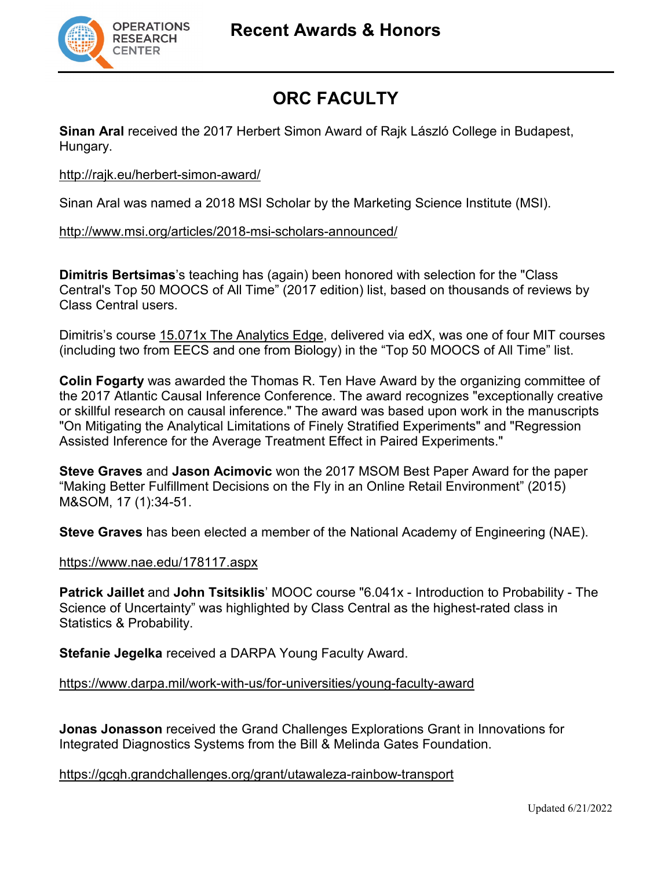

# **ORC FACULTY**

**Sinan Aral** received the 2017 Herbert Simon Award of Rajk László College in Budapest, Hungary.

#### <http://rajk.eu/herbert-simon-award/>

Sinan Aral was named a 2018 MSI Scholar by the Marketing Science Institute (MSI).

#### <http://www.msi.org/articles/2018-msi-scholars-announced/>

**Dimitris Bertsimas**'s teaching has (again) been honored with selection for the "Class Central's Top 50 MOOCS of All Time" (2017 edition) list, based on thousands of reviews by Class Central users.

Dimitris's course [15.071x The Analytics Edge,](https://www.class-central.com/mooc/1623/edx-the-analytics-edge) delivered via edX, was one of four MIT courses (including two from EECS and one from Biology) in the "Top 50 MOOCS of All Time" list.

**Colin Fogarty** was awarded the Thomas R. Ten Have Award by the organizing committee of the 2017 Atlantic Causal Inference Conference. The award recognizes "exceptionally creative or skillful research on causal inference." The award was based upon work in the manuscripts ["On Mitigating the Analytical Limitations of Finely Stratified Experiments"](http://www.mit.edu/%7Ecfogarty/ImprovedVarianceArxiv.pdf) and ["Regression](https://arxiv.org/pdf/1612.05179v2.pdf)  [Assisted Inference for the Average Treatment Effect in Paired Experiments.](https://arxiv.org/pdf/1612.05179v2.pdf)"

**Steve Graves** and **Jason Acimovic** won the 2017 MSOM Best Paper Award for the paper "Making Better Fulfillment Decisions on the Fly in an Online Retail Environment" (2015) M&SOM, 17 (1):34-51.

**Steve Graves** has been elected a member of the National Academy of Engineering (NAE).

#### <https://www.nae.edu/178117.aspx>

**Patrick Jaillet** and **John Tsitsiklis**' MOOC course "6.041x - Introduction to Probability - The Science of Uncertainty" was highlighted by Class Central as the highest-rated class in Statistics & Probability.

**Stefanie Jegelka** received a DARPA Young Faculty Award.

<https://www.darpa.mil/work-with-us/for-universities/young-faculty-award>

**Jonas Jonasson** received the Grand Challenges Explorations Grant in Innovations for Integrated Diagnostics Systems from the Bill & Melinda Gates Foundation.

<https://gcgh.grandchallenges.org/grant/utawaleza-rainbow-transport>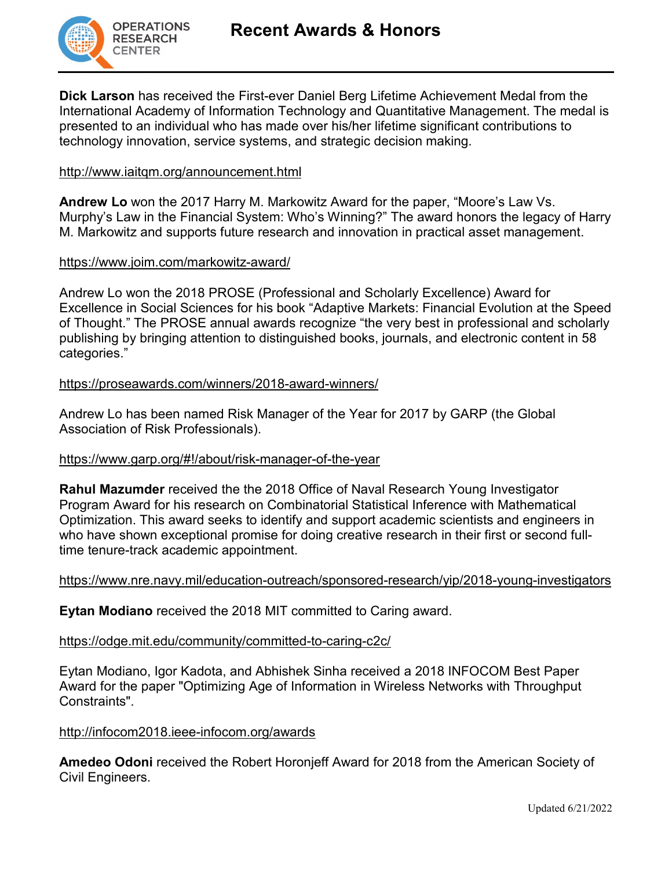

**Dick Larson** has received the First-ever Daniel Berg Lifetime Achievement Medal from the International Academy of Information Technology and Quantitative Management. The medal is presented to an individual who has made over his/her lifetime significant contributions to technology innovation, service systems, and strategic decision making.

#### <http://www.iaitqm.org/announcement.html>

**Andrew Lo** won the 2017 Harry M. Markowitz Award for the paper, "Moore's Law Vs. Murphy's Law in the Financial System: Who's Winning?" The award honors the legacy of Harry M. Markowitz and supports future research and innovation in practical asset management.

#### <https://www.joim.com/markowitz-award/>

Andrew Lo won the 2018 PROSE (Professional and Scholarly Excellence) Award for Excellence in Social Sciences for his book "Adaptive Markets: Financial Evolution at the Speed of Thought." The PROSE annual awards recognize "the very best in professional and scholarly publishing by bringing attention to distinguished books, journals, and electronic content in 58 categories."

#### <https://proseawards.com/winners/2018-award-winners/>

Andrew Lo has been named Risk Manager of the Year for 2017 by GARP (the Global Association of Risk Professionals).

#### <https://www.garp.org/#!/about/risk-manager-of-the-year>

**Rahul Mazumder** received the the 2018 Office of Naval Research Young Investigator Program Award for his research on Combinatorial Statistical Inference with Mathematical Optimization. This award seeks to identify and support academic scientists and engineers in who have shown exceptional promise for doing creative research in their first or second fulltime tenure-track academic appointment.

#### <https://www.nre.navy.mil/education-outreach/sponsored-research/yip/2018-young-investigators>

**Eytan Modiano** received the 2018 MIT committed to Caring award.

#### <https://odge.mit.edu/community/committed-to-caring-c2c/>

Eytan Modiano, Igor Kadota, and Abhishek Sinha received a 2018 INFOCOM Best Paper Award for the paper "Optimizing Age of Information in Wireless Networks with Throughput Constraints".

#### <http://infocom2018.ieee-infocom.org/awards>

**Amedeo Odoni** received the Robert Horonjeff Award for 2018 from the American Society of Civil Engineers.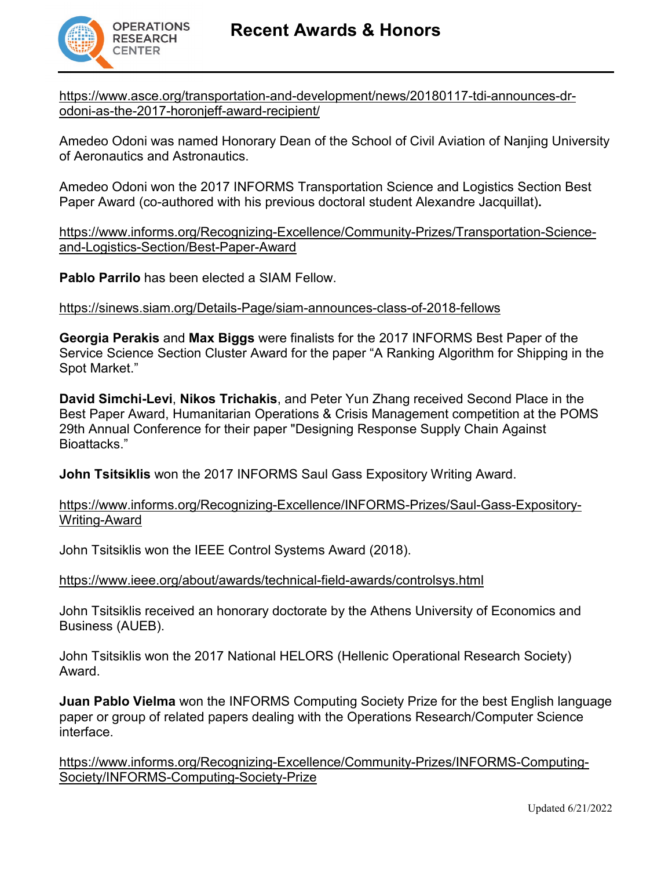

[https://www.asce.org/transportation-and-development/news/20180117-tdi-announces-dr](https://www.asce.org/transportation-and-development/news/20180117-tdi-announces-dr-odoni-as-the-2017-horonjeff-award-recipient/)[odoni-as-the-2017-horonjeff-award-recipient/](https://www.asce.org/transportation-and-development/news/20180117-tdi-announces-dr-odoni-as-the-2017-horonjeff-award-recipient/)

Amedeo Odoni was named Honorary Dean of the School of Civil Aviation of Nanjing University of Aeronautics and Astronautics.

Amedeo Odoni won the 2017 INFORMS Transportation Science and Logistics Section Best Paper Award (co-authored with his previous doctoral student Alexandre Jacquillat)**.**

[https://www.informs.org/Recognizing-Excellence/Community-Prizes/Transportation-Science](https://www.informs.org/Recognizing-Excellence/Community-Prizes/Transportation-Science-and-Logistics-Section/Best-Paper-Award)[and-Logistics-Section/Best-Paper-Award](https://www.informs.org/Recognizing-Excellence/Community-Prizes/Transportation-Science-and-Logistics-Section/Best-Paper-Award)

**Pablo Parrilo** has been elected a SIAM Fellow.

#### <https://sinews.siam.org/Details-Page/siam-announces-class-of-2018-fellows>

**Georgia Perakis** and **Max Biggs** were finalists for the 2017 INFORMS Best Paper of the Service Science Section Cluster Award for the paper "A Ranking Algorithm for Shipping in the Spot Market."

**David Simchi-Levi**, **Nikos Trichakis**, and Peter Yun Zhang received Second Place in the Best Paper Award, Humanitarian Operations & Crisis Management competition at the POMS 29th Annual Conference for their paper "Designing Response Supply Chain Against Bioattacks."

**John Tsitsiklis** won the 2017 INFORMS Saul Gass Expository Writing Award.

#### [https://www.informs.org/Recognizing-Excellence/INFORMS-Prizes/Saul-Gass-Expository-](https://www.informs.org/Recognizing-Excellence/INFORMS-Prizes/Saul-Gass-Expository-Writing-Award)[Writing-Award](https://www.informs.org/Recognizing-Excellence/INFORMS-Prizes/Saul-Gass-Expository-Writing-Award)

John Tsitsiklis won the IEEE Control Systems Award (2018).

<https://www.ieee.org/about/awards/technical-field-awards/controlsys.html>

John Tsitsiklis received an honorary doctorate by the Athens University of Economics and Business (AUEB).

John Tsitsiklis won the 2017 National HELORS (Hellenic Operational Research Society) Award.

**Juan Pablo Vielma** won the INFORMS Computing Society Prize for the best English language paper or group of related papers dealing with the Operations Research/Computer Science interface.

[https://www.informs.org/Recognizing-Excellence/Community-Prizes/INFORMS-Computing-](https://www.informs.org/Recognizing-Excellence/Community-Prizes/INFORMS-Computing-Society/INFORMS-Computing-Society-Prize)[Society/INFORMS-Computing-Society-Prize](https://www.informs.org/Recognizing-Excellence/Community-Prizes/INFORMS-Computing-Society/INFORMS-Computing-Society-Prize)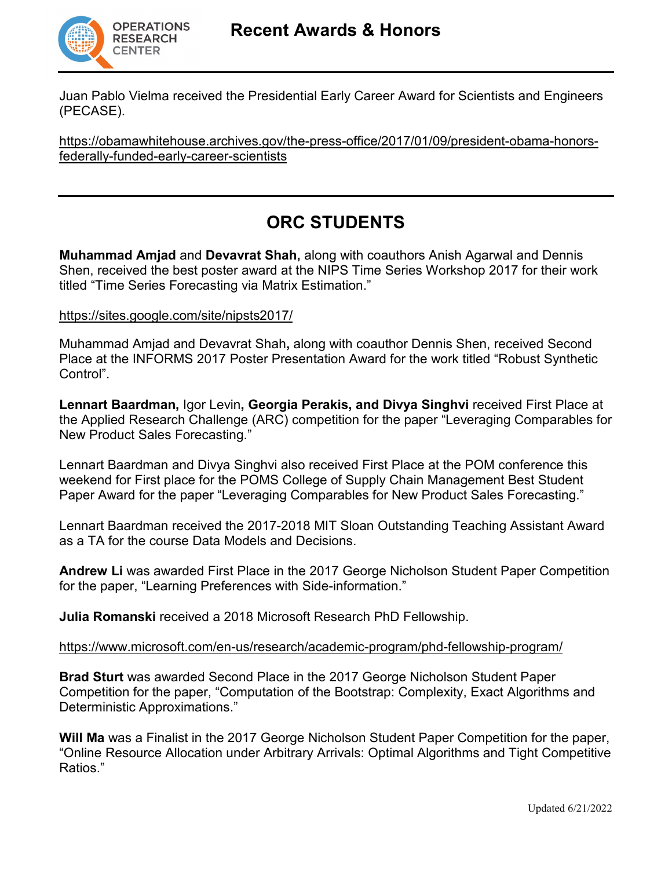

Juan Pablo Vielma received the Presidential Early Career Award for Scientists and Engineers (PECASE).

[https://obamawhitehouse.archives.gov/the-press-office/2017/01/09/president-obama-honors](https://obamawhitehouse.archives.gov/the-press-office/2017/01/09/president-obama-honors-federally-funded-early-career-scientists)[federally-funded-early-career-scientists](https://obamawhitehouse.archives.gov/the-press-office/2017/01/09/president-obama-honors-federally-funded-early-career-scientists)

## **ORC STUDENTS**

**Muhammad Amjad** and **Devavrat Shah,** along with coauthors Anish Agarwal and Dennis Shen, received the best poster award at the NIPS Time Series Workshop 2017 for their work titled "Time Series Forecasting via Matrix Estimation."

#### <https://sites.google.com/site/nipsts2017/>

Muhammad Amjad and Devavrat Shah**,** along with coauthor Dennis Shen, received Second Place at the INFORMS 2017 Poster Presentation Award for the work titled "Robust Synthetic Control".

**Lennart Baardman,** Igor Levin**, Georgia Perakis, and Divya Singhvi** received First Place at the Applied Research Challenge (ARC) competition for the paper "Leveraging Comparables for New Product Sales Forecasting."

Lennart Baardman and Divya Singhvi also received First Place at the POM conference this weekend for First place for the POMS College of Supply Chain Management Best Student Paper Award for the paper "Leveraging Comparables for New Product Sales Forecasting."

Lennart Baardman received the 2017-2018 MIT Sloan Outstanding Teaching Assistant Award as a TA for the course Data Models and Decisions.

**Andrew Li** was awarded First Place in the 2017 George Nicholson Student Paper Competition for the paper, "Learning Preferences with Side-information."

**Julia Romanski** received a 2018 Microsoft Research PhD Fellowship.

#### <https://www.microsoft.com/en-us/research/academic-program/phd-fellowship-program/>

**Brad Sturt** was awarded Second Place in the 2017 George Nicholson Student Paper Competition for the paper, "Computation of the Bootstrap: Complexity, Exact Algorithms and Deterministic Approximations."

**Will Ma** was a Finalist in the 2017 George Nicholson Student Paper Competition for the paper, "Online Resource Allocation under Arbitrary Arrivals: Optimal Algorithms and Tight Competitive Ratios."